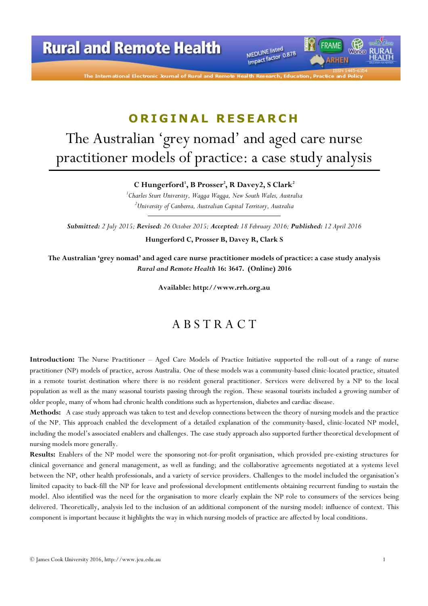

MEDLINE listed MEDLINE listed<br>Impact factor 0.878

# ORIGINAL RESEARCH

# The Australian 'grey nomad' and aged care nurse practitioner models of practice: a case study analysis

C Hungerford', B Prosser $^2$ , R Davey2, S Clark $^2$ 

<sup>1</sup>Charles Sturt University, Wagga Wagga, New South Wales, Australia  $^{2}$ University of Canberra, Australian Capital Territory, Australia

Submitted: 2 July 2015; Revised: 26 October 2015; Accepted: 18 February 2016; Published: 12 April 2016

Hungerford C, Prosser B, Davey R, Clark S

The Australian 'grey nomad' and aged care nurse practitioner models of practice: a case study analysis Rural and Remote Health 16: 3647. (Online) 2016

Available: http://www.rrh.org.au

### A B S T R A C T

Introduction: The Nurse Practitioner – Aged Care Models of Practice Initiative supported the roll-out of a range of nurse practitioner (NP) models of practice, across Australia. One of these models was a community-based clinic-located practice, situated in a remote tourist destination where there is no resident general practitioner. Services were delivered by a NP to the local population as well as the many seasonal tourists passing through the region. These seasonal tourists included a growing number of older people, many of whom had chronic health conditions such as hypertension, diabetes and cardiac disease.

Methods: A case study approach was taken to test and develop connections between the theory of nursing models and the practice of the NP. This approach enabled the development of a detailed explanation of the community-based, clinic-located NP model, including the model's associated enablers and challenges. The case study approach also supported further theoretical development of nursing models more generally.

Results: Enablers of the NP model were the sponsoring not-for-profit organisation, which provided pre-existing structures for clinical governance and general management, as well as funding; and the collaborative agreements negotiated at a systems level between the NP, other health professionals, and a variety of service providers. Challenges to the model included the organisation's limited capacity to back-fill the NP for leave and professional development entitlements obtaining recurrent funding to sustain the model. Also identified was the need for the organisation to more clearly explain the NP role to consumers of the services being delivered. Theoretically, analysis led to the inclusion of an additional component of the nursing model: influence of context. This component is important because it highlights the way in which nursing models of practice are affected by local conditions.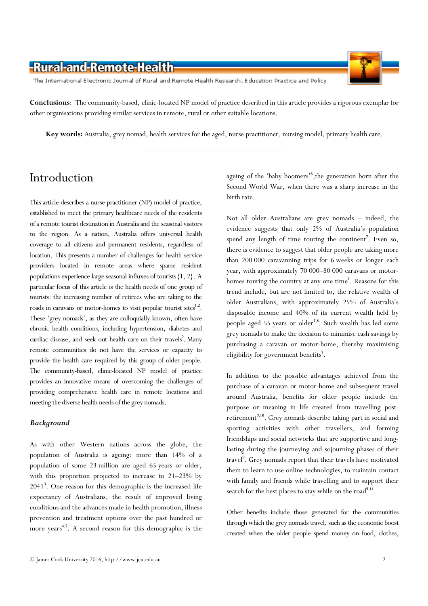The International Electronic Journal of Rural and Remote Health Research, Education Practice and Policy

Conclusions: The community-based, clinic-located NP model of practice described in this article provides a rigorous exemplar for other organisations providing similar services in remote, rural or other suitable locations.

Key words: Australia, grey nomad, health services for the aged, nurse practitioner, nursing model, primary health care.

# Introduction

This article describes a nurse practitioner (NP) model of practice, established to meet the primary healthcare needs of the residents of a remote tourist destination in Australia and the seasonal visitors to the region. As a nation, Australia offers universal health coverage to all citizens and permanent residents, regardless of location. This presents a number of challenges for health service providers located in remote areas where sparse resident populations experience large seasonal influxes of tourists  $\{1, 2\}$ . A particular focus of this article is the health needs of one group of tourists: the increasing number of retirees who are taking to the roads in caravans or motor-homes to visit popular tourist sites<sup>1,2</sup>. These 'grey nomads', as they are colloquially known, often have chronic health conditions, including hypertension, diabetes and cardiac disease, and seek out health care on their travels<sup>2</sup>. Many remote communities do not have the services or capacity to provide the health care required by this group of older people. The community-based, clinic-located NP model of practice provides an innovative means of overcoming the challenges of providing comprehensive health care in remote locations and meeting the diverse health needs of the grey nomads.

### **Background**

As with other Western nations across the globe, the population of Australia is ageing: more than 14% of a population of some 23 million are aged 65 years or older, with this proportion projected to increase to 21–23% by 2041<sup>3</sup> . One reason for this demographic is the increased life expectancy of Australians, the result of improved living conditions and the advances made in health promotion, illness prevention and treatment options over the past hundred or more years<sup>4,5</sup>. A second reason for this demographic is the

ageing of the 'baby boomers'<sup>6</sup>, the generation born after the Second World War, when there was a sharp increase in the birth rate.

Not all older Australians are grey nomads – indeed, the evidence suggests that only 2% of Australia's population spend any length of time touring the continent<sup>7</sup>. Even so, there is evidence to suggest that older people are taking more than 200 000 caravanning trips for 6 weeks or longer each year, with approximately 70 000–80 000 caravans or motorhomes touring the country at any one time<sup>1</sup>. Reasons for this trend include, but are not limited to, the relative wealth of older Australians, with approximately 25% of Australia's disposable income and 40% of its current wealth held by people aged 55 years or older<sup>5,8</sup>. Such wealth has led some grey nomads to make the decision to minimise cash savings by purchasing a caravan or motor-home, thereby maximising eligibility for government benefits<sup>7</sup>.

In addition to the possible advantages achieved from the purchase of a caravan or motor-home and subsequent travel around Australia, benefits for older people include the purpose or meaning in life created from travelling postretirement<sup>9,10</sup>. Grey nomads describe taking part in social and sporting activities with other travellers, and forming friendships and social networks that are supportive and longlasting during the journeying and sojourning phases of their travel<sup>9</sup>. Grey nomads report that their travels have motivated them to learn to use online technologies, to maintain contact with family and friends while travelling and to support their search for the best places to stay while on the road<sup>9,11</sup>.

Other benefits include those generated for the communities through which the grey nomads travel, such as the economic boost created when the older people spend money on food, clothes,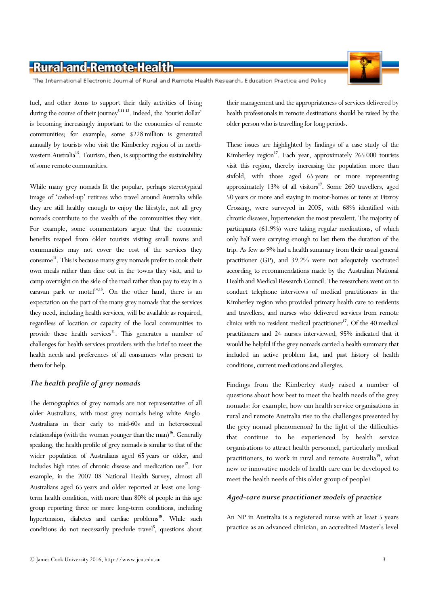The International Electronic Journal of Rural and Remote Health Research, Education Practice and Policy

fuel, and other items to support their daily activities of living during the course of their journey<sup>5,11,12</sup>. Indeed, the 'tourist dollar' is becoming increasingly important to the economies of remote communities; for example, some \$228 million is generated annually by tourists who visit the Kimberley region of in northwestern Australia<sup>13</sup>. Tourism, then, is supporting the sustainability of some remote communities.

While many grey nomads fit the popular, perhaps stereotypical image of 'cashed-up' retirees who travel around Australia while they are still healthy enough to enjoy the lifestyle, not all grey nomads contribute to the wealth of the communities they visit. For example, some commentators argue that the economic benefits reaped from older tourists visiting small towns and communities may not cover the cost of the services they consume <sup>11</sup>. This is because many grey nomads prefer to cook their own meals rather than dine out in the towns they visit, and to camp overnight on the side of the road rather than pay to stay in a caravan park or motel $14,15$ . On the other hand, there is an expectation on the part of the many grey nomads that the services they need, including health services, will be available as required, regardless of location or capacity of the local communities to provide these health services<sup>11</sup>. This generates a number of challenges for health services providers with the brief to meet the health needs and preferences of all consumers who present to them for help.

### The health profile of grey nomads

The demographics of grey nomads are not representative of all older Australians, with most grey nomads being white Anglo-Australians in their early to mid-60s and in heterosexual relationships (with the woman younger than the man)<sup>16</sup>. Generally speaking, the health profile of grey nomads is similar to that of the wider population of Australians aged 65 years or older, and includes high rates of chronic disease and medication use <sup>17</sup>. For example, in the 2007–08 National Health Survey, almost all Australians aged 65 years and older reported at least one longterm health condition, with more than 80% of people in this age group reporting three or more long-term conditions, including hypertension, diabetes and cardiac problems<sup>18</sup>. While such conditions do not necessarily preclude travel<sup>5</sup>, questions about their management and the appropriateness of services delivered by health professionals in remote destinations should be raised by the older person who is travelling for long periods.

These issues are highlighted by findings of a case study of the Kimberley region<sup>17</sup>. Each year, approximately  $265\,000$  tourists visit this region, thereby increasing the population more than sixfold, with those aged 65 years or more representing approximately 13% of all visitors<sup>17</sup>. Some 260 travellers, aged 50 years or more and staying in motor-homes or tents at Fitzroy Crossing, were surveyed in 2005, with 68% identified with chronic diseases, hypertension the most prevalent. The majority of participants (61.9%) were taking regular medications, of which only half were carrying enough to last them the duration of the trip. As few as 9% had a health summary from their usual general practitioner (GP), and 39.2% were not adequately vaccinated according to recommendations made by the Australian National Health and Medical Research Council. The researchers went on to conduct telephone interviews of medical practitioners in the Kimberley region who provided primary health care to residents and travellers, and nurses who delivered services from remote clinics with no resident medical practitioner<sup>17</sup>. Of the 40 medical practitioners and 24 nurses interviewed, 95% indicated that it would be helpful if the grey nomads carried a health summary that included an active problem list, and past history of health conditions, current medications and allergies.

Findings from the Kimberley study raised a number of questions about how best to meet the health needs of the grey nomads: for example, how can health service organisations in rural and remote Australia rise to the challenges presented by the grey nomad phenomenon? In the light of the difficulties that continue to be experienced by health service organisations to attract health personnel, particularly medical practitioners, to work in rural and remote Australia<sup>19</sup>, what new or innovative models of health care can be developed to meet the health needs of this older group of people?

### Aged-care nurse practitioner models of practice

An NP in Australia is a registered nurse with at least 5 years practice as an advanced clinician, an accredited Master's level

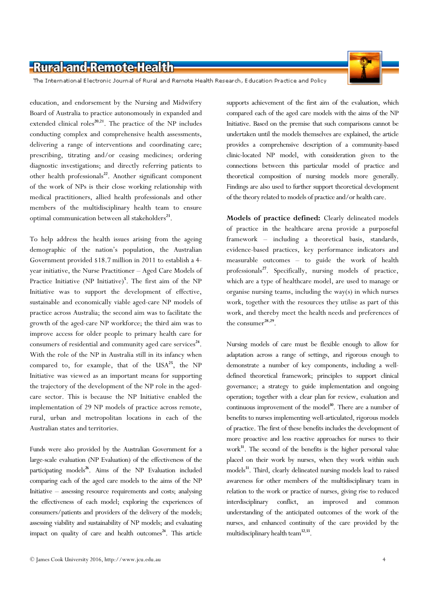

The International Electronic Journal of Rural and Remote Health Research, Education Practice and Policy

education, and endorsement by the Nursing and Midwifery Board of Australia to practice autonomously in expanded and extended clinical roles<sup>20,21</sup>. The practice of the NP includes conducting complex and comprehensive health assessments, delivering a range of interventions and coordinating care; prescribing, titrating and/or ceasing medicines; ordering diagnostic investigations; and directly referring patients to other health professionals $^{22}$ . Another significant component of the work of NPs is their close working relationship with medical practitioners, allied health professionals and other members of the multidisciplinary health team to ensure optimal communication between all stakeholders<sup>23</sup>.

To help address the health issues arising from the ageing demographic of the nation's population, the Australian Government provided \$18.7 million in 2011 to establish a 4 year initiative, the Nurse Practitioner – Aged Care Models of Practice Initiative (NP Initiative)<sup>5</sup>. The first aim of the NP Initiative was to support the development of effective, sustainable and economically viable aged-care NP models of practice across Australia; the second aim was to facilitate the growth of the aged-care NP workforce; the third aim was to improve access for older people to primary health care for consumers of residential and community aged care services $24$ . With the role of the NP in Australia still in its infancy when compared to, for example, that of the  $USA^{25}$ , the NP Initiative was viewed as an important means for supporting the trajectory of the development of the NP role in the agedcare sector. This is because the NP Initiative enabled the implementation of 29 NP models of practice across remote, rural, urban and metropolitan locations in each of the Australian states and territories.

Funds were also provided by the Australian Government for a large-scale evaluation (NP Evaluation) of the effectiveness of the participating models<sup>26</sup>. Aims of the NP Evaluation included comparing each of the aged care models to the aims of the NP Initiative – assessing resource requirements and costs; analysing the effectiveness of each model; exploring the experiences of consumers/patients and providers of the delivery of the models; assessing viability and sustainability of NP models; and evaluating impact on quality of care and health outcomes<sup>24</sup>. This article

supports achievement of the first aim of the evaluation, which compared each of the aged care models with the aims of the NP Initiative. Based on the premise that such comparisons cannot be undertaken until the models themselves are explained, the article provides a comprehensive description of a community-based clinic-located NP model, with consideration given to the connections between this particular model of practice and theoretical composition of nursing models more generally. Findings are also used to further support theoretical development of the theory related to models of practice and/or health care.

Models of practice defined: Clearly delineated models of practice in the healthcare arena provide a purposeful framework – including a theoretical basis, standards, evidence-based practices, key performance indicators and measurable outcomes – to guide the work of health professionals<sup>27</sup>. Specifically, nursing models of practice, which are a type of healthcare model, are used to manage or organise nursing teams, including the way(s) in which nurses work, together with the resources they utilise as part of this work, and thereby meet the health needs and preferences of the consumer $^{28,29}$ .

Nursing models of care must be flexible enough to allow for adaptation across a range of settings, and rigorous enough to demonstrate a number of key components, including a welldefined theoretical framework; principles to support clinical governance; a strategy to guide implementation and ongoing operation; together with a clear plan for review, evaluation and continuous improvement of the model<sup>30</sup>. There are a number of benefits to nurses implementing well-articulated, rigorous models of practice. The first of these benefits includes the development of more proactive and less reactive approaches for nurses to their work<sup>31</sup>. The second of the benefits is the higher personal value placed on their work by nurses, when they work within such models<sup>31</sup>. Third, clearly delineated nursing models lead to raised awareness for other members of the multidisciplinary team in relation to the work or practice of nurses, giving rise to reduced interdisciplinary conflict, an improved and common understanding of the anticipated outcomes of the work of the nurses, and enhanced continuity of the care provided by the multidisciplinary health team<sup>32,33</sup>.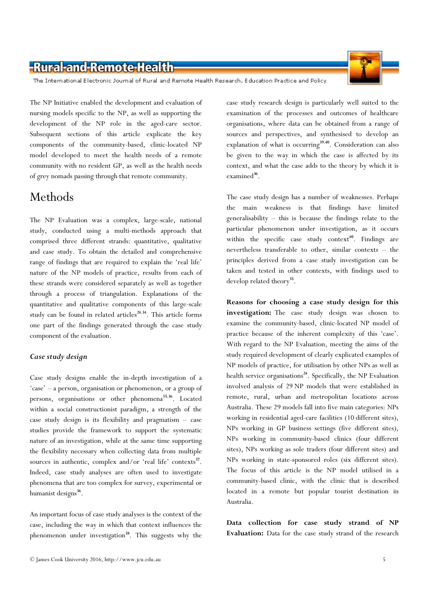The International Electronic Journal of Rural and Remote Health Research, Education Practice and Policy

The NP Initiative enabled the development and evaluation of nursing models specific to the NP, as well as supporting the development of the NP role in the aged-care sector. Subsequent sections of this article explicate the key components of the community-based, clinic-located NP model developed to meet the health needs of a remote community with no resident GP, as well as the health needs of grey nomads passing through that remote community.

# Methods

The NP Evaluation was a complex, large-scale, national study, conducted using a multi-methods approach that comprised three different strands: quantitative, qualitative and case study. To obtain the detailed and comprehensive range of findings that are required to explain the 'real life' nature of the NP models of practice, results from each of these strands were considered separately as well as together through a process of triangulation. Explanations of the quantitative and qualitative components of this large-scale study can be found in related articles<sup>24,34</sup>. This article forms one part of the findings generated through the case study component of the evaluation.

### Case study design

Case study designs enable the in-depth investigation of a 'case' – a person, organisation or phenomenon, or a group of persons, organisations or other phenomena<sup>35,36</sup>. Located within a social constructionist paradigm, a strength of the case study design is its flexibility and pragmatism – case studies provide the framework to support the systematic nature of an investigation, while at the same time supporting the flexibility necessary when collecting data from multiple sources in authentic, complex and/or 'real life' contexts<sup>37</sup>. Indeed, case study analyses are often used to investigate phenomena that are too complex for survey, experimental or humanist designs<sup>36</sup>.

An important focus of case study analyses is the context of the case, including the way in which that context influences the phenomenon under investigation<sup>38</sup>. This suggests why the

case study research design is particularly well suited to the examination of the processes and outcomes of healthcare organisations, where data can be obtained from a range of sources and perspectives, and synthesised to develop an explanation of what is occurring<sup>39,40</sup>. Consideration can also be given to the way in which the case is affected by its context, and what the case adds to the theory by which it is examined<sup>36</sup>.

The case study design has a number of weaknesses. Perhaps the main weakness is that findings have limited generalisability – this is because the findings relate to the particular phenomenon under investigation, as it occurs within the specific case study context<sup>40</sup>. Findings are nevertheless transferable to other, similar contexts – the principles derived from a case study investigation can be taken and tested in other contexts, with findings used to develop related theory<sup>35</sup>.

Reasons for choosing a case study design for this investigation: The case study design was chosen to examine the community-based, clinic-located NP model of practice because of the inherent complexity of this 'case'. With regard to the NP Evaluation, meeting the aims of the study required development of clearly explicated examples of NP models of practice, for utilisation by other NPs as well as health service organisations<sup>24</sup>. Specifically, the NP Evaluation involved analysis of 29 NP models that were established in remote, rural, urban and metropolitan locations across Australia. These 29 models fall into five main categories: NPs working in residential aged-care facilities (10 different sites), NPs working in GP business settings (five different sites), NPs working in community-based clinics (four different sites), NPs working as sole traders (four different sites) and NPs working in state-sponsored roles (six different sites). The focus of this article is the NP model utilised in a community-based clinic, with the clinic that is described located in a remote but popular tourist destination in Australia.

Data collection for case study strand of NP Evaluation: Data for the case study strand of the research



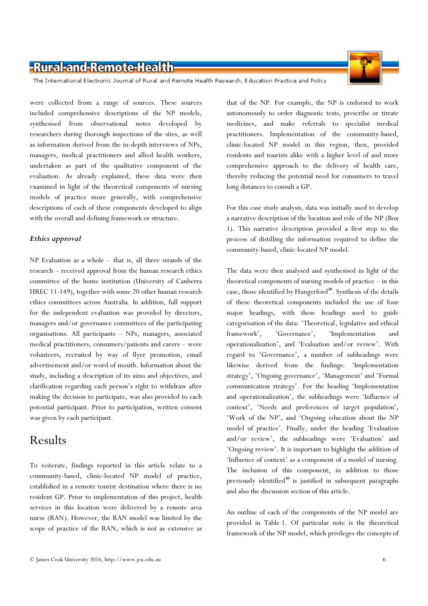The International Electronic Journal of Rural and Remote Health Research, Education Practice and Policy

were collected from a range of sources. These sources included comprehensive descriptions of the NP models, synthesised from observational notes developed by researchers during thorough inspections of the sites, as well as information derived from the in-depth interviews of NPs, managers, medical practitioners and allied health workers, undertaken as part of the qualitative component of the evaluation. As already explained, these data were then examined in light of the theoretical components of nursing models of practice more generally, with comprehensive descriptions of each of these components developed to align with the overall and defining framework or structure.

### Ethics approval

NP Evaluation as a whole – that is, all three strands of the research – received approval from the human research ethics committee of the home institution (University of Canberra HREC 11-149), together with some 20 other human research ethics committees across Australia. In addition, full support for the independent evaluation was provided by directors, managers and/or governance committees of the participating organisations. All participants – NPs, managers, associated medical practitioners, consumers/patients and carers – were volunteers, recruited by way of flyer promotion, email advertisement and/or word of mouth. Information about the study, including a description of its aims and objectives, and clarification regarding each person's right to withdraw after making the decision to participate, was also provided to each potential participant. Prior to participation, written consent was given by each participant.

### Results

To reiterate, findings reported in this article relate to a community-based, clinic-located NP model of practice, established in a remote tourist destination where there is no resident GP. Prior to implementation of this project, health services in this location were delivered by a remote area nurse (RAN). However, the RAN model was limited by the scope of practice of the RAN, which is not as extensive as

that of the NP. For example, the NP is endorsed to work autonomously to order diagnostic tests, prescribe or titrate medicines, and make referrals to specialist medical practitioners. Implementation of the community-based, clinic-located NP model in this region, then, provided residents and tourists alike with a higher level of and more comprehensive approach to the delivery of health care, thereby reducing the potential need for consumers to travel long distances to consult a GP.

For this case study analysis, data was initially used to develop a narrative description of the location and role of the NP (Box 1). This narrative description provided a first step to the process of distilling the information required to define the community-based, clinic-located NP model.

The data were then analysed and synthesised in light of the theoretical components of nursing models of practice – in this case, those identified by Hungerford<sup>30</sup>. Synthesis of the details of these theoretical components included the use of four major headings, with these headings used to guide categorisation of the data: 'Theoretical, legislative and ethical framework', 'Governance', 'Implementation and operationalization', and 'Evaluation and/or review'. With regard to 'Governance', a number of subheadings were likewise derived from the findings: 'Implementation strategy', 'Ongoing governance', 'Management' and 'Formal communication strategy'. For the heading 'Implementation and operationalization', the subheadings were 'Influence of context', 'Needs and preferences of target population', 'Work of the NP', and 'Ongoing education about the NP model of practice'. Finally, under the heading 'Evaluation and/or review', the subheadings were 'Evaluation' and 'Ongoing review'. It is important to highlight the addition of 'Influence of context' as a component of a model of nursing. The inclusion of this component, in addition to those previously identified<sup>30</sup> is justified in subsequent paragraphs and also the discussion section of this article.

An outline of each of the components of the NP model are provided in Table 1. Of particular note is the theoretical framework of the NP model, which privileges the concepts of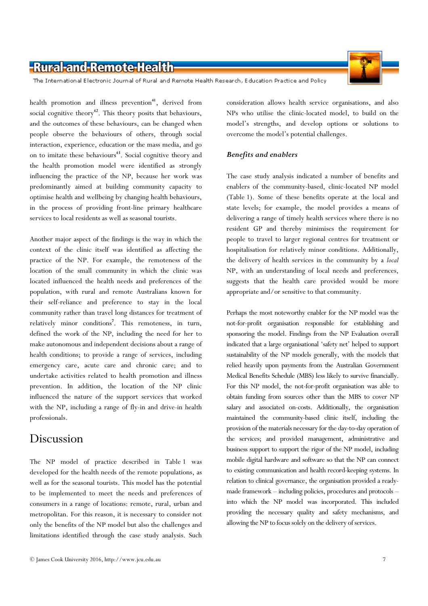

The International Electronic Journal of Rural and Remote Health Research, Education Practice and Policy

health promotion and illness prevention<sup>41</sup>, derived from social cognitive theory<sup>42</sup>. This theory posits that behaviours, and the outcomes of these behaviours, can be changed when people observe the behaviours of others, through social interaction, experience, education or the mass media, and go on to imitate these behaviours<sup>43</sup>. Social cognitive theory and the health promotion model were identified as strongly influencing the practice of the NP, because her work was predominantly aimed at building community capacity to optimise health and wellbeing by changing health behaviours, in the process of providing front-line primary healthcare services to local residents as well as seasonal tourists.

Another major aspect of the findings is the way in which the context of the clinic itself was identified as affecting the practice of the NP. For example, the remoteness of the location of the small community in which the clinic was located influenced the health needs and preferences of the population, with rural and remote Australians known for their self-reliance and preference to stay in the local community rather than travel long distances for treatment of relatively minor conditions<sup>7</sup>. This remoteness, in turn, defined the work of the NP, including the need for her to make autonomous and independent decisions about a range of health conditions; to provide a range of services, including emergency care, acute care and chronic care; and to undertake activities related to health promotion and illness prevention. In addition, the location of the NP clinic influenced the nature of the support services that worked with the NP, including a range of fly-in and drive-in health professionals.

### Discussion

The NP model of practice described in Table 1 was developed for the health needs of the remote populations, as well as for the seasonal tourists. This model has the potential to be implemented to meet the needs and preferences of consumers in a range of locations: remote, rural, urban and metropolitan. For this reason, it is necessary to consider not only the benefits of the NP model but also the challenges and limitations identified through the case study analysis. Such

consideration allows health service organisations, and also NPs who utilise the clinic-located model, to build on the model's strengths, and develop options or solutions to overcome the model's potential challenges.

### Benefits and enablers

The case study analysis indicated a number of benefits and enablers of the community-based, clinic-located NP model (Table 1). Some of these benefits operate at the local and state levels; for example, the model provides a means of delivering a range of timely health services where there is no resident GP and thereby minimises the requirement for people to travel to larger regional centres for treatment or hospitalisation for relatively minor conditions. Additionally, the delivery of health services in the community by a local NP, with an understanding of local needs and preferences, suggests that the health care provided would be more appropriate and/or sensitive to that community.

Perhaps the most noteworthy enabler for the NP model was the not-for-profit organisation responsible for establishing and sponsoring the model. Findings from the NP Evaluation overall indicated that a large organisational 'safety net' helped to support sustainability of the NP models generally, with the models that relied heavily upon payments from the Australian Government Medical Benefits Schedule (MBS) less likely to survive financially. For this NP model, the not-for-profit organisation was able to obtain funding from sources other than the MBS to cover NP salary and associated on-costs. Additionally, the organisation maintained the community-based clinic itself, including the provision of the materials necessary for the day-to-day operation of the services; and provided management, administrative and business support to support the rigor of the NP model, including mobile digital hardware and software so that the NP can connect to existing communication and health record-keeping systems. In relation to clinical governance, the organisation provided a readymade framework – including policies, procedures and protocols – into which the NP model was incorporated. This included providing the necessary quality and safety mechanisms, and allowing the NP to focus solely on the delivery of services.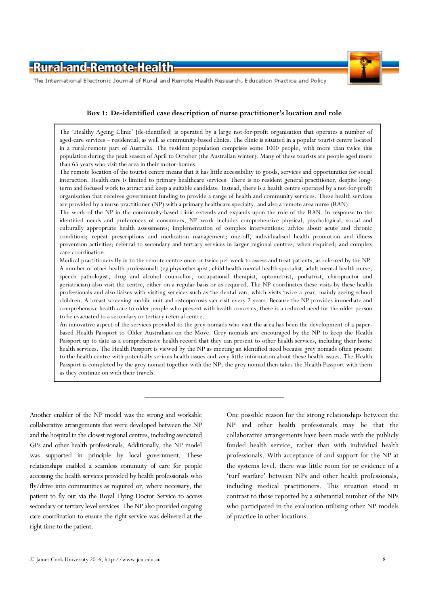



The International Electronic Journal of Rural and Remote Health Research, Education Practice and Policy

### Box 1: De-identified case description of nurse practitioner's location and role

The 'Healthy Ageing Clinic' [de-identified] is operated by a large not-for-profit organisation that operates a number of aged-care services – residential, as well as community-based clinics. The clinic is situated in a popular tourist centre located in a rural/remote part of Australia. The resident population comprises some 1000 people, with more than twice this population during the peak season of April to October (the Australian winter). Many of these tourists are people aged more than 65 years who visit the area in their motor-homes.

The remote location of the tourist centre means that it has little accessibility to goods, services and opportunities for social interaction. Health care is limited to primary healthcare services. There is no resident general practitioner, despite longterm and focused work to attract and keep a suitable candidate. Instead, there is a health centre operated by a not-for-profit organisation that receives government funding to provide a range of health and community services. These health services are provided by a nurse practitioner (NP) with a primary healthcare specialty, and also a remote area nurse (RAN).

The work of the NP in the community-based clinic extends and expands upon the role of the RAN. In response to the identified needs and preferences of consumers, NP work includes comprehensive physical, psychological, social and culturally appropriate health assessments; implementation of complex interventions; advice about acute and chronic conditions; repeat prescriptions and medication management; one-off, individualised health promotion and illness prevention activities; referral to secondary and tertiary services in larger regional centres, when required; and complex care coordination.

Medical practitioners fly in to the remote centre once or twice per week to assess and treat patients, as referred by the NP. A number of other health professionals (eg physiotherapist, child health mental health specialist, adult mental health nurse, speech pathologist, drug and alcohol counsellor, occupational therapist, optometrist, podiatrist, chiropractor and geriatrician) also visit the centre, either on a regular basis or as required. The NP coordinates these visits by these health professionals and also liaises with visiting services such as the dental van, which visits twice a year, mainly seeing school children. A breast screening mobile unit and osteoporosis van visit every 2 years. Because the NP provides immediate and comprehensive health care to older people who present with health concerns, there is a reduced need for the older person to be evacuated to a secondary or tertiary referral centre.

An innovative aspect of the services provided to the grey nomads who visit the area has been the development of a paperbased Health Passport to Older Australians on the Move. Grey nomads are encouraged by the NP to keep the Health Passport up to date as a comprehensive health record that they can present to other health services, including their home health services. The Health Passport is viewed by the NP as meeting an identified need because grey nomads often present to the health centre with potentially serious health issues and very little information about these health issues. The Health Passport is completed by the grey nomad together with the NP; the grey nomad then takes the Health Passport with them as they continue on with their travels.

Another enabler of the NP model was the strong and workable collaborative arrangements that were developed between the NP and the hospital in the closest regional centres, including associated GPs and other health professionals. Additionally, the NP model was supported in principle by local government. These relationships enabled a seamless continuity of care for people accessing the health services provided by health professionals who fly/drive into communities as required or, where necessary, the patient to fly out via the Royal Flying Doctor Service to access secondary or tertiary level services. The NP also provided ongoing care coordination to ensure the right service was delivered at the right time to the patient.

One possible reason for the strong relationships between the NP and other health professionals may be that the collaborative arrangements have been made with the publicly funded health service, rather than with individual health professionals. With acceptance of and support for the NP at the systems level, there was little room for or evidence of a 'turf warfare' between NPs and other health professionals, including medical practitioners. This situation stood in contrast to those reported by a substantial number of the NPs who participated in the evaluation utilising other NP models of practice in other locations.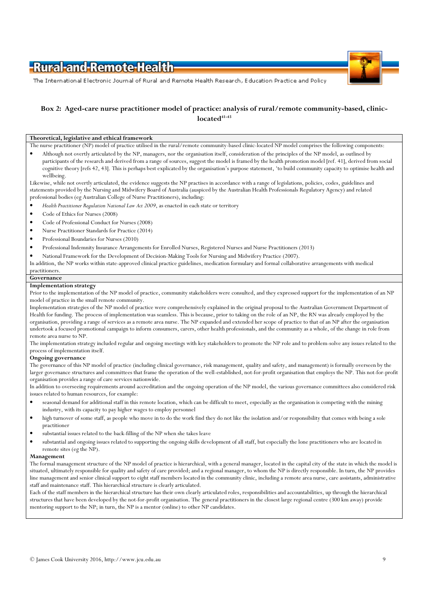

The International Electronic Journal of Rural and Remote Health Research, Education Practice and Policy

### Box 2: Aged-care nurse practitioner model of practice: analysis of rural/remote community-based, clinic $located<sup>41-43</sup>$

### Theoretical, legislative and ethical framework

The nurse practitioner (NP) model of practice utilised in the rural/remote community-based clinic-located NP model comprises the following components:

• Although not overtly articulated by the NP, managers, nor the organisation itself, consideration of the principles of the NP model, as outlined by participants of the research and derived from a range of sources, suggest the model is framed by the health promotion model [ref. 41], derived from social cognitive theory [refs 42, 43]. This is perhaps best explicated by the organisation's purpose statement, 'to build community capacity to optimise health and wellbeing.

Likewise, while not overtly articulated, the evidence suggests the NP practises in accordance with a range of legislations, policies, codes, guidelines and statements provided by the Nursing and Midwifery Board of Australia (auspiced by the Australian Health Professionals Regulatory Agency) and related professional bodies (eg Australian College of Nurse Practitioners), including:

- Health Practitioner Regulation National Law Act 2009, as enacted in each state or territory
- Code of Ethics for Nurses (2008)
- Code of Professional Conduct for Nurses (2008)
- Nurse Practitioner Standards for Practice (2014)
- Professional Boundaries for Nurses (2010)
- Professional Indemnity Insurance Arrangements for Enrolled Nurses, Registered Nurses and Nurse Practitioners (2013)
- National Framework for the Development of Decision-Making Tools for Nursing and Midwifery Practice (2007).

In addition, the NP works within state-approved clinical practice guidelines, medication formulary and formal collaborative arrangements with medical practitioners.

#### Governance

#### Implementation strategy

Prior to the implementation of the NP model of practice, community stakeholders were consulted, and they expressed support for the implementation of an NP model of practice in the small remote community.

Implementation strategies of the NP model of practice were comprehensively explained in the original proposal to the Australian Government Department of Health for funding. The process of implementation was seamless. This is because, prior to taking on the role of an NP, the RN was already employed by the organisation, providing a range of services as a remote area nurse. The NP expanded and extended her scope of practice to that of an NP after the organisation undertook a focused promotional campaign to inform consumers, carers, other health professionals, and the community as a whole, of the change in role from remote area nurse to NP.

The implementation strategy included regular and ongoing meetings with key stakeholders to promote the NP role and to problem-solve any issues related to the process of implementation itself.

#### Ongoing governance

The governance of this NP model of practice (including clinical governance, risk management, quality and safety, and management) is formally overseen by the larger governance structures and committees that frame the operation of the well-established, not-for-profit organisation that employs the NP. This not-for-profit organisation provides a range of care services nationwide.

In addition to overseeing requirements around accreditation and the ongoing operation of the NP model, the various governance committees also considered risk issues related to human resources, for example:

- seasonal demand for additional staff in this remote location, which can be difficult to meet, especially as the organisation is competing with the mining industry, with its capacity to pay higher wages to employ personnel
- high turnover of some staff, as people who move in to do the work find they do not like the isolation and/or responsibility that comes with being a sole practitioner
- substantial issues related to the back-filling of the NP when she takes leave
- substantial and ongoing issues related to supporting the ongoing skills development of all staff, but especially the lone practitioners who are located in remote sites (eg the NP).

#### Management

The formal management structure of the NP model of practice is hierarchical, with a general manager, located in the capital city of the state in which the model is situated, ultimately responsible for quality and safety of care provided; and a regional manager, to whom the NP is directly responsible. In turn, the NP provides line management and senior clinical support to eight staff members located in the community clinic, including a remote area nurse, care assistants, administrative staff and maintenance staff. This hierarchical structure is clearly articulated.

Each of the staff members in the hierarchical structure has their own clearly articulated roles, responsibilities and accountabilities, up through the hierarchical structures that have been developed by the not-for-profit organisation. The general practitioners in the closest large regional centre (300 km away) provide mentoring support to the NP; in turn, the NP is a mentor (online) to other NP candidates.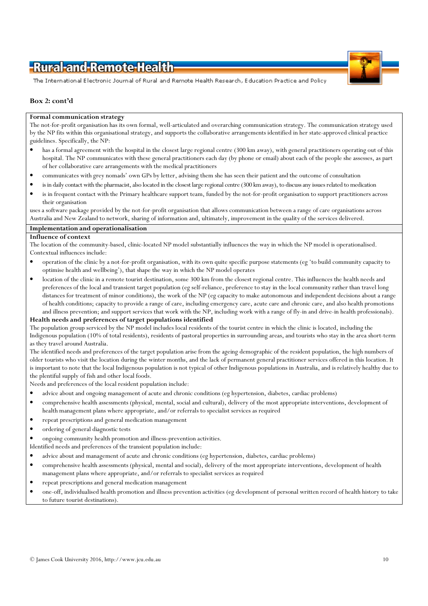

The International Electronic Journal of Rural and Remote Health Research, Education Practice and Policy

### Box 2: cont'd

#### Formal communication strategy

The not-for-profit organisation has its own formal, well-articulated and overarching communication strategy. The communication strategy used by the NP fits within this organisational strategy, and supports the collaborative arrangements identified in her state-approved clinical practice guidelines. Specifically, the NP:

- has a formal agreement with the hospital in the closest large regional centre (300 km away), with general practitioners operating out of this hospital. The NP communicates with these general practitioners each day (by phone or email) about each of the people she assesses, as part of her collaborative care arrangements with the medical practitioners
- communicates with grey nomads' own GPs by letter, advising them she has seen their patient and the outcome of consultation
- is in daily contact with the pharmacist, also located in the closest large regional centre (300 km away), to discuss any issues related to medication
- is in frequent contact with the Primary healthcare support team, funded by the not-for-profit organisation to support practitioners across their organisation

uses a software package provided by the not-for-profit organisation that allows communication between a range of care organisations across Australia and New Zealand to network, sharing of information and, ultimately, improvement in the quality of the services delivered.

### Implementation and operationalisation

#### Influence of context

The location of the community-based, clinic-located NP model substantially influences the way in which the NP model is operationalised. Contextual influences include:

- operation of the clinic by a not-for-profit organisation, with its own quite specific purpose statements (eg 'to build community capacity to optimise health and wellbeing'), that shape the way in which the NP model operates
- location of the clinic in a remote tourist destination, some 300 km from the closest regional centre. This influences the health needs and preferences of the local and transient target population (eg self-reliance, preference to stay in the local community rather than travel long distances for treatment of minor conditions), the work of the NP (eg capacity to make autonomous and independent decisions about a range of health conditions; capacity to provide a range of care, including emergency care, acute care and chronic care, and also health promotions and illness prevention; and support services that work with the NP, including work with a range of fly-in and drive-in health professionals).

#### Health needs and preferences of target populations identified

The population group serviced by the NP model includes local residents of the tourist centre in which the clinic is located, including the Indigenous population (10% of total residents), residents of pastoral properties in surrounding areas, and tourists who stay in the area short-term as they travel around Australia.

The identified needs and preferences of the target population arise from the ageing demographic of the resident population, the high numbers of older tourists who visit the location during the winter months, and the lack of permanent general practitioner services offered in this location. It is important to note that the local Indigenous population is not typical of other Indigenous populations in Australia, and is relatively healthy due to the plentiful supply of fish and other local foods.

Needs and preferences of the local resident population include:

- advice about and ongoing management of acute and chronic conditions (eg hypertension, diabetes, cardiac problems)
- comprehensive health assessments (physical, mental, social and cultural), delivery of the most appropriate interventions, development of health management plans where appropriate, and/or referrals to specialist services as required
- repeat prescriptions and general medication management
- ordering of general diagnostic tests
- ongoing community health promotion and illness-prevention activities.

Identified needs and preferences of the transient population include:

- advice about and management of acute and chronic conditions (eg hypertension, diabetes, cardiac problems)
- comprehensive health assessments (physical, mental and social), delivery of the most appropriate interventions, development of health management plans where appropriate, and/or referrals to specialist services as required
- repeat prescriptions and general medication management
- one-off, individualised health promotion and illness prevention activities (eg development of personal written record of health history to take to future tourist destinations).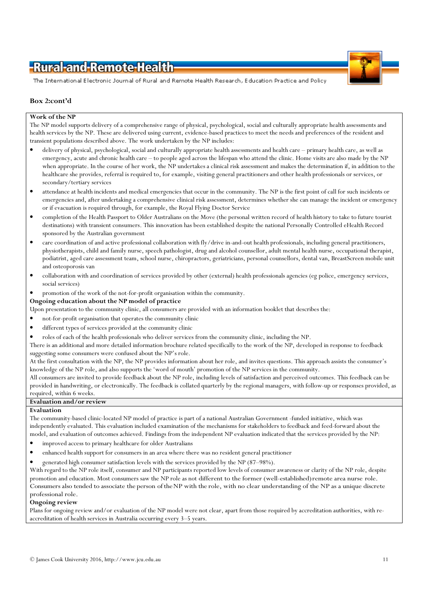

The International Electronic Journal of Rural and Remote Health Research, Education Practice and Policy

### Box 2:cont'd

#### Work of the NP

The NP model supports delivery of a comprehensive range of physical, psychological, social and culturally appropriate health assessments and health services by the NP. These are delivered using current, evidence-based practices to meet the needs and preferences of the resident and transient populations described above. The work undertaken by the NP includes:

- delivery of physical, psychological, social and culturally appropriate health assessments and health care primary health care, as well as emergency, acute and chronic health care – to people aged across the lifespan who attend the clinic. Home visits are also made by the NP when appropriate. In the course of her work, the NP undertakes a clinical risk assessment and makes the determination if, in addition to the healthcare she provides, referral is required to, for example, visiting general practitioners and other health professionals or services, or secondary/tertiary services
- attendance at health incidents and medical emergencies that occur in the community. The NP is the first point of call for such incidents or emergencies and, after undertaking a comprehensive clinical risk assessment, determines whether she can manage the incident or emergency or if evacuation is required through, for example, the Royal Flying Doctor Service
- completion of the Health Passport to Older Australians on the Move (the personal written record of health history to take to future tourist destinations) with transient consumers. This innovation has been established despite the national Personally Controlled eHealth Record sponsored by the Australian government
- care coordination of and active professional collaboration with fly/drive in-and-out health professionals, including general practitioners, physiotherapists, child and family nurse, speech pathologist, drug and alcohol counsellor, adult mental health nurse, occupational therapist, podiatrist, aged care assessment team, school nurse, chiropractors, geriatricians, personal counsellors, dental van, BreastScreen mobile unit and osteoporosis van
- collaboration with and coordination of services provided by other (external) health professionals agencies (eg police, emergency services, social services)
- promotion of the work of the not-for-profit organisation within the community.

#### Ongoing education about the NP model of practice

Upon presentation to the community clinic, all consumers are provided with an information booklet that describes the:

- not-for-profit organisation that operates the community clinic
- different types of services provided at the community clinic
- roles of each of the health professionals who deliver services from the community clinic, including the NP.

There is an additional and more detailed information brochure related specifically to the work of the NP, developed in response to feedback suggesting some consumers were confused about the NP's role.

At the first consultation with the NP, the NP provides information about her role, and invites questions. This approach assists the consumer's knowledge of the NP role, and also supports the 'word of mouth' promotion of the NP services in the community.

All consumers are invited to provide feedback about the NP role, including levels of satisfaction and perceived outcomes. This feedback can be provided in handwriting, or electronically. The feedback is collated quarterly by the regional managers, with follow-up or responses provided, as required, within 6 weeks.

### Evaluation and/or review

#### Evaluation

The community-based clinic-located NP model of practice is part of a national Australian Government -funded initiative, which was independently evaluated. This evaluation included examination of the mechanisms for stakeholders to feedback and feed-forward about the model, and evaluation of outcomes achieved. Findings from the independent NP evaluation indicated that the services provided by the NP:

- improved access to primary healthcare for older Australians
- enhanced health support for consumers in an area where there was no resident general practitioner
- generated high consumer satisfaction levels with the services provided by the NP (87–98%).

With regard to the NP role itself, consumer and NP participants reported low levels of consumer awareness or clarity of the NP role, despite promotion and education. Most consumers saw the NP role as not different to the former (well-established) remote area nurse role. Consumers also tended to associate the person of the NP with the role, with no clear understanding of the NP as a unique discrete professional role.

#### Ongoing review

Plans for ongoing review and/or evaluation of the NP model were not clear, apart from those required by accreditation authorities, with reaccreditation of health services in Australia occurring every 3–5 years.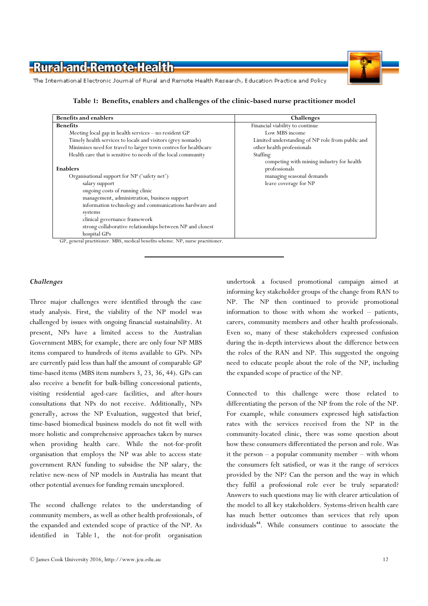

The International Electronic Journal of Rural and Remote Health Research, Education Practice and Policy

Table 1: Benefits, enablers and challenges of the clinic-based nurse practitioner model

| <b>Benefits and enablers</b>                                                    | Challenges                                                 |
|---------------------------------------------------------------------------------|------------------------------------------------------------|
| <b>Benefits</b>                                                                 | Financial viability to continue                            |
| Meeting local gap in health services - no resident GP                           | Low MBS income                                             |
| Timely health services to locals and visitors (grey nomads)                     | Limited understanding of NP role from public and           |
| Minimises need for travel to larger town centres for healthcare                 | other health professionals                                 |
| Health care that is sensitive to needs of the local community                   | Staffing                                                   |
| Enablers                                                                        | competing with mining industry for health<br>professionals |
| Organisational support for NP ('safety net')                                    | managing seasonal demands                                  |
| salary support                                                                  | leave coverage for NP                                      |
| ongoing costs of running clinic                                                 |                                                            |
| management, administration, business support                                    |                                                            |
| information technology and communications hardware and                          |                                                            |
| systems                                                                         |                                                            |
| clinical governance framework                                                   |                                                            |
| strong collaborative relationships between NP and closest                       |                                                            |
| hospital GPs                                                                    |                                                            |
| GP, general practitioner. MBS, medical benefits scheme. NP, nurse practitioner. |                                                            |

Challenges

Three major challenges were identified through the case study analysis. First, the viability of the NP model was challenged by issues with ongoing financial sustainability. At present, NPs have a limited access to the Australian Government MBS; for example, there are only four NP MBS items compared to hundreds of items available to GPs. NPs are currently paid less than half the amount of comparable GP time-based items (MBS item numbers 3, 23, 36, 44). GPs can also receive a benefit for bulk-billing concessional patients, visiting residential aged-care facilities, and after-hours consultations that NPs do not receive. Additionally, NPs generally, across the NP Evaluation, suggested that brief, time-based biomedical business models do not fit well with more holistic and comprehensive approaches taken by nurses when providing health care. While the not-for-profit organisation that employs the NP was able to access state government RAN funding to subsidise the NP salary, the relative new-ness of NP models in Australia has meant that other potential avenues for funding remain unexplored.

The second challenge relates to the understanding of community members, as well as other health professionals, of the expanded and extended scope of practice of the NP. As identified in Table 1, the not-for-profit organisation

undertook a focused promotional campaign aimed at informing key stakeholder groups of the change from RAN to NP. The NP then continued to provide promotional information to those with whom she worked – patients, carers, community members and other health professionals. Even so, many of these stakeholders expressed confusion during the in-depth interviews about the difference between the roles of the RAN and NP. This suggested the ongoing need to educate people about the role of the NP, including the expanded scope of practice of the NP.

Connected to this challenge were those related to differentiating the person of the NP from the role of the NP. For example, while consumers expressed high satisfaction rates with the services received from the NP in the community-located clinic, there was some question about how these consumers differentiated the person and role. Was it the person – a popular community member – with whom the consumers felt satisfied, or was it the range of services provided by the NP? Can the person and the way in which they fulfil a professional role ever be truly separated? Answers to such questions may lie with clearer articulation of the model to all key stakeholders. Systems-driven health care has much better outcomes than services that rely upon individuals<sup>44</sup>. While consumers continue to associate the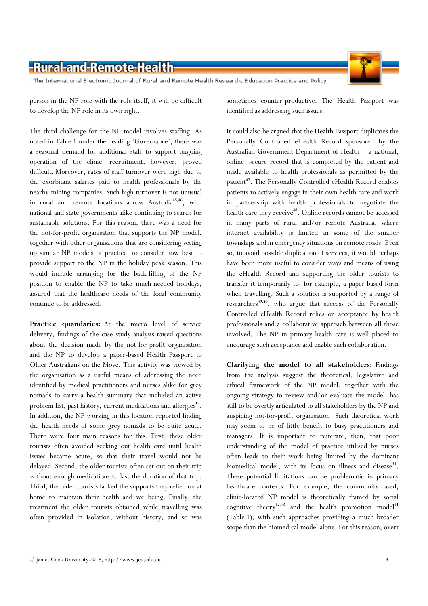The International Electronic Journal of Rural and Remote Health Research, Education Practice and Policy

person in the NP role with the role itself, it will be difficult to develop the NP role in its own right.

The third challenge for the NP model involves staffing. As noted in Table 1 under the heading 'Governance', there was a seasonal demand for additional staff to support ongoing operation of the clinic; recruitment, however, proved difficult. Moreover, rates of staff turnover were high due to the exorbitant salaries paid to health professionals by the nearby mining companies. Such high turnover is not unusual in rural and remote locations across Australia<sup>45,46</sup>, with national and state governments alike continuing to search for sustainable solutions. For this reason, there was a need for the not-for-profit organisation that supports the NP model, together with other organisations that are considering setting up similar NP models of practice, to consider how best to provide support to the NP in the holiday peak season. This would include arranging for the back-filling of the NP position to enable the NP to take much-needed holidays, assured that the healthcare needs of the local community continue to be addressed.

Practice quandaries: At the micro level of service delivery, findings of the case study analysis raised questions about the decision made by the not-for-profit organisation and the NP to develop a paper-based Health Passport to Older Australians on the Move. This activity was viewed by the organisation as a useful means of addressing the need identified by medical practitioners and nurses alike for grey nomads to carry a health summary that included an active problem list, past history, current medications and allergies<sup>17</sup>. In addition, the NP working in this location reported finding the health needs of some grey nomads to be quite acute. There were four main reasons for this. First, these older tourists often avoided seeking out health care until health issues became acute, so that their travel would not be delayed. Second, the older tourists often set out on their trip without enough medications to last the duration of that trip. Third, the older tourists lacked the supports they relied on at home to maintain their health and wellbeing. Finally, the treatment the older tourists obtained while travelling was often provided in isolation, without history, and so was

sometimes counter-productive. The Health Passport was identified as addressing such issues.

It could also be argued that the Health Passport duplicates the Personally Controlled eHealth Record sponsored by the Australian Government Department of Health – a national, online, secure record that is completed by the patient and made available to health professionals as permitted by the patient<sup>47</sup>. The Personally Controlled eHealth Record enables patients to actively engage in their own health care and work in partnership with health professionals to negotiate the health care they receive<sup>48</sup>. Online records cannot be accessed in many parts of rural and/or remote Australia, where internet availability is limited in some of the smaller townships and in emergency situations on remote roads. Even so, to avoid possible duplication of services, it would perhaps have been more useful to consider ways and means of using the eHealth Record and supporting the older tourists to transfer it temporarily to, for example, a paper-based form when travelling. Such a solution is supported by a range of researchers<sup>49,50</sup>, who argue that success of the Personally Controlled eHealth Record relies on acceptance by health professionals and a collaborative approach between all those involved. The NP in primary health care is well placed to encourage such acceptance and enable such collaboration.

Clarifying the model to all stakeholders: Findings from the analysis suggest the theoretical, legislative and ethical framework of the NP model, together with the ongoing strategy to review and/or evaluate the model, has still to be overtly articulated to all stakeholders by the NP and auspicing not-for-profit organisation. Such theoretical work may seem to be of little benefit to busy practitioners and managers. It is important to reiterate, then, that poor understanding of the model of practice utilised by nurses often leads to their work being limited by the dominant biomedical model, with its focus on illness and disease<sup>31</sup>. These potential limitations can be problematic in primary healthcare contexts. For example, the community-based, clinic-located NP model is theoretically framed by social cognitive theory<sup>42,43</sup> and the health promotion model<sup>41</sup> (Table 1), with such approaches providing a much broader scope than the biomedical model alone. For this reason, overt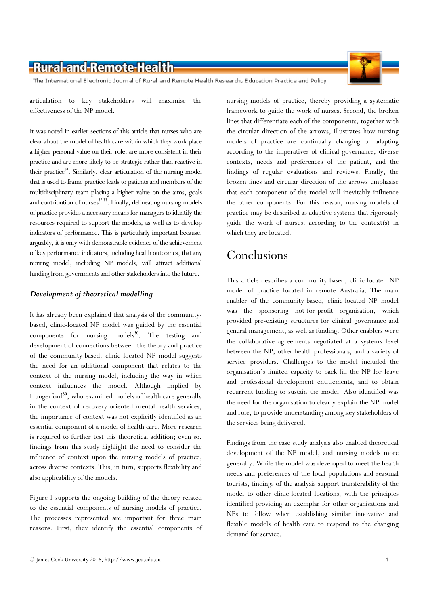The International Electronic Journal of Rural and Remote Health Research, Education Practice and Policy

articulation to key stakeholders will maximise the effectiveness of the NP model.

It was noted in earlier sections of this article that nurses who are clear about the model of health care within which they work place a higher personal value on their role, are more consistent in their practice and are more likely to be strategic rather than reactive in their practice<sup>31</sup>. Similarly, clear articulation of the nursing model that is used to frame practice leads to patients and members of the multidisciplinary team placing a higher value on the aims, goals and contribution of nurses<sup>32,33</sup>. Finally, delineating nursing models of practice provides a necessary means for managers to identify the resources required to support the models, as well as to develop indicators of performance. This is particularly important because, arguably, it is only with demonstrable evidence of the achievement of key performance indicators, including health outcomes, that any nursing model, including NP models, will attract additional funding from governments and other stakeholders into the future.

### Development of theoretical modelling

It has already been explained that analysis of the communitybased, clinic-located NP model was guided by the essential components for nursing models $^{30}$ . The testing and development of connections between the theory and practice of the community-based, clinic located NP model suggests the need for an additional component that relates to the context of the nursing model, including the way in which context influences the model. Although implied by Hungerford<sup>30</sup>, who examined models of health care generally in the context of recovery-oriented mental health services, the importance of context was not explicitly identified as an essential component of a model of health care. More research is required to further test this theoretical addition; even so, findings from this study highlight the need to consider the influence of context upon the nursing models of practice, across diverse contexts. This, in turn, supports flexibility and also applicability of the models.

Figure 1 supports the ongoing building of the theory related to the essential components of nursing models of practice. The processes represented are important for three main reasons. First, they identify the essential components of

nursing models of practice, thereby providing a systematic framework to guide the work of nurses. Second, the broken lines that differentiate each of the components, together with the circular direction of the arrows, illustrates how nursing models of practice are continually changing or adapting according to the imperatives of clinical governance, diverse contexts, needs and preferences of the patient, and the findings of regular evaluations and reviews. Finally, the broken lines and circular direction of the arrows emphasise that each component of the model will inevitably influence the other components. For this reason, nursing models of practice may be described as adaptive systems that rigorously guide the work of nurses, according to the context(s) in which they are located.

# Conclusions

This article describes a community-based, clinic-located NP model of practice located in remote Australia. The main enabler of the community-based, clinic-located NP model was the sponsoring not-for-profit organisation, which provided pre-existing structures for clinical governance and general management, as well as funding. Other enablers were the collaborative agreements negotiated at a systems level between the NP, other health professionals, and a variety of service providers. Challenges to the model included the organisation's limited capacity to back-fill the NP for leave and professional development entitlements, and to obtain recurrent funding to sustain the model. Also identified was the need for the organisation to clearly explain the NP model and role, to provide understanding among key stakeholders of the services being delivered.

Findings from the case study analysis also enabled theoretical development of the NP model, and nursing models more generally. While the model was developed to meet the health needs and preferences of the local populations and seasonal tourists, findings of the analysis support transferability of the model to other clinic-located locations, with the principles identified providing an exemplar for other organisations and NPs to follow when establishing similar innovative and flexible models of health care to respond to the changing demand for service.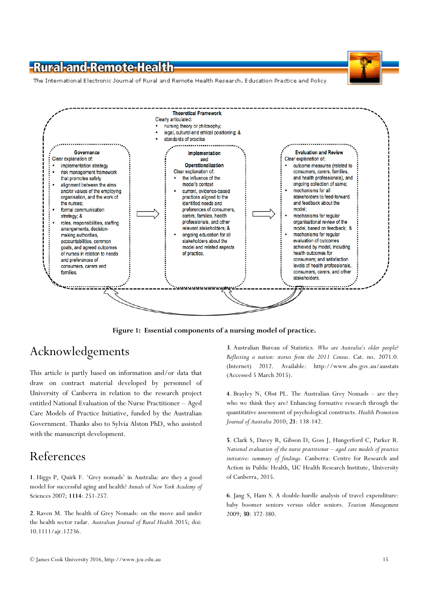The International Electronic Journal of Rural and Remote Health Research, Education Practice and Policy



Figure 1: Essential components of a nursing model of practice.

# Acknowledgements

This article is partly based on information and/or data that draw on contract material developed by personnel of University of Canberra in relation to the research project entitled National Evaluation of the Nurse Practitioner – Aged Care Models of Practice Initiative, funded by the Australian Government. Thanks also to Sylvia Alston PhD, who assisted with the manuscript development.

## References

1. Higgs P, Quirk F. 'Grey nomads' in Australia: are they a good model for successful aging and health? Annals of New York Academy of Sciences 2007; 1114: 251-257.

2. Raven M. The health of Grey Nomads: on the move and under the health sector radar. Australian Journal of Rural Health 2015; doi: 10.1111/ajr.12236.

3. Australian Bureau of Statistics. Who are Australia's older people? Reflecting a nation: stories from the 2011 Census. Cat. no. 2071.0. (Internet) 2012. Available: http://www.abs.gov.au/ausstats (Accessed 5 March 2015).

4. Brayley N, Obst PL. The Australian Grey Nomads – are they who we think they are? Enhancing formative research through the quantitative assessment of psychological constructs. Health Promotion Journal of Australia 2010; 21: 138-142.

5. Clark S, Davey R, Gibson D, Goss J, Hungerford C, Parker R. National evaluation of the nurse practitioner – aged care models of practice initiative: summary of findings. Canberra: Centre for Research and Action in Public Health, UC Health Research Institute, University of Canberra, 2015.

6. Jang S, Ham S. A double-hurdle analysis of travel expenditure: baby boomer seniors versus older seniors. Tourism Management 2009; 30: 372-380.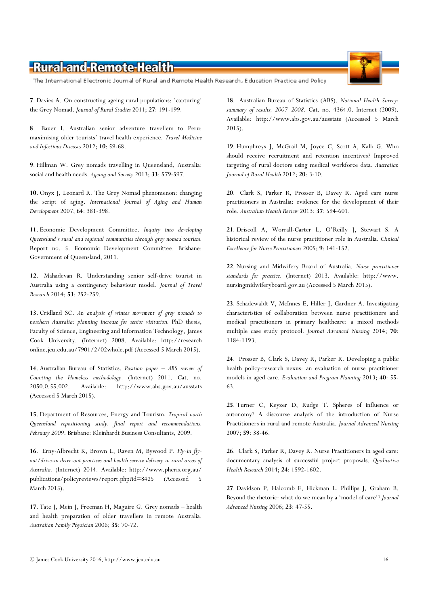# © James Cook University 2016, http://www.jcu.edu.au 16

# -Rural-and-Remote-Health

The International Electronic Journal of Rural and Remote Health Research, Education Practice and Policy

7. Davies A. On constructing ageing rural populations: 'capturing' the Grey Nomad. Journal of Rural Studies 2011; 27: 191-199.

8. Bauer I. Australian senior adventure travellers to Peru: maximising older tourists' travel health experience. Travel Medicine and Infectious Diseases 2012; 10: 59-68.

9. Hillman W. Grey nomads travelling in Queensland, Australia: social and health needs. Ageing and Society 2013; 33: 579-597.

10. Onyx J, Leonard R. The Grey Nomad phenomenon: changing the script of aging. International Journal of Aging and Human Development 2007; 64: 381-398.

11. Economic Development Committee. Inquiry into developing Queensland's rural and regional communities through grey nomad tourism. Report no. 5. Economic Development Committee. Brisbane: Government of Queensland, 2011.

12. Mahadevan R. Understanding senior self-drive tourist in Australia using a contingency behaviour model. Journal of Travel Research 2014; 53: 252-259.

13. Cridland SC. An analysis of winter movement of grey nomads to northern Australia: planning increase for senior visitation. PhD thesis, Faculty of Science, Engineering and Information Technology, James Cook University. (Internet) 2008. Available: http://research online.jcu.edu.au/7901/2/02whole.pdf (Accessed 5 March 2015).

14. Australian Bureau of Statistics. Position paper - ABS review of Counting the Homeless methodology. (Internet) 2011. Cat. no. 2050.0.55.002. Available: http://www.abs.gov.au/ausstats (Accessed 5 March 2015).

15. Department of Resources, Energy and Tourism. Tropical north Queensland repositioning study, final report and recommendations, February 2009. Brisbane: Kleinhardt Business Consultants, 2009.

16. Erny-Albrecht K, Brown L, Raven M, Bywood P. Fly-in flyout/drive-in drive-out practices and health service delivery in rural areas of Australia. (Internet) 2014. Available: http://www.phcris.org.au/ publications/policyreviews/report.php?id=8425 (Accessed 5 March 2015).

17. Tate J, Mein J, Freeman H, Maguire G. Grey nomads – health and health preparation of older travellers in remote Australia. Australian Family Physician 2006; 35: 70-72.

18. Australian Bureau of Statistics (ABS). National Health Survey: summary of results, 2007–2008. Cat. no. 4364.0. Internet (2009). Available: http://www.abs.gov.au/ausstats (Accessed 5 March 2015).

19. Humphreys J, McGrail M, Joyce C, Scott A, Kalb G. Who should receive recruitment and retention incentives? Improved targeting of rural doctors using medical workforce data. Australian Journal of Rural Health 2012; 20: 3-10.

20. Clark S, Parker R, Prosser B, Davey R. Aged care nurse practitioners in Australia: evidence for the development of their role. Australian Health Review 2013; 37: 594-601.

21. Driscoll A, Worrall-Carter L, O'Reilly J, Stewart S. A historical review of the nurse practitioner role in Australia. Clinical Excellence for Nurse Practitioners 2005; 9: 141-152.

22. Nursing and Midwifery Board of Australia. Nurse practitioner standards for practice. (Internet) 2013. Available: http://www. nursingmidwiferyboard.gov.au (Accessed 5 March 2015).

23. Schadewaldt V, McInnes E, Hiller J, Gardner A. Investigating characteristics of collaboration between nurse practitioners and medical practitioners in primary healthcare: a mixed methods multiple case study protocol. *Journal Advanced Nursing* 2014; 70: 1184-1193.

24. Prosser B, Clark S, Davey R, Parker R. Developing a public health policy-research nexus: an evaluation of nurse practitioner models in aged care. Evaluation and Program Planning 2013; 40: 55- 63.

25. Turner C, Keyzer D, Rudge T. Spheres of influence or autonomy? A discourse analysis of the introduction of Nurse Practitioners in rural and remote Australia. Journal Advanced Nursing 2007; 59: 38-46.

26. Clark S, Parker R, Davey R. Nurse Practitioners in aged care: documentary analysis of successful project proposals. Qualitative Health Research 2014; 24: 1592-1602.

27. Davidson P, Halcomb E, Hickman L, Phillips J, Graham B. Beyond the rhetoric: what do we mean by a 'model of care'? Journal Advanced Nursing 2006; 23: 47-55.